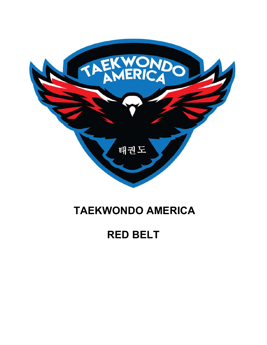

## **TAEKWONDO AMERICA**

## **RED BELT**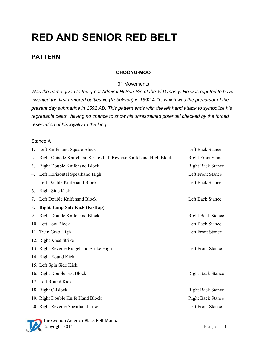# **RED AND SENIOR RED BELT**

### **PATTERN**

#### **CHOONG-MOO**

#### 31 Movements

*Was the name given to the great Admiral Hi Sun-Sin of the Yi Dynasty. He was reputed to have invented the first armored battleship (Kobukson) in 1592 A.D., which was the precursor of the present day submarine in 1592 AD. This pattern ends with the left hand attack to symbolize his regrettable death, having no chance to show his unrestrained potential checked by the forced reservation of his loyalty to the king.*

#### Stance A

| 1. | Left Knifehand Square Block                                       | Left Back Stance          |
|----|-------------------------------------------------------------------|---------------------------|
| 2. | Right Outside Knifehand Strike /Left Reverse Knifehand High Block | <b>Right Front Stance</b> |
| 3. | Right Double Knifehand Block                                      | <b>Right Back Stance</b>  |
| 4. | Left Horizontal Spearhand High                                    | Left Front Stance         |
| 5. | Left Double Knifehand Block                                       | Left Back Stance          |
| 6. | Right Side Kick                                                   |                           |
| 7. | Left Double Knifehand Block                                       | Left Back Stance          |
| 8. | <b>Right Jump Side Kick (Ki-Hap)</b>                              |                           |
| 9. | Right Double Knifehand Block                                      | <b>Right Back Stance</b>  |
|    | 10. Left Low Block                                                | Left Back Stance          |
|    | 11. Twin Grab High                                                | Left Front Stance         |
|    | 12. Right Knee Strike                                             |                           |
|    | 13. Right Reverse Ridgehand Strike High                           | Left Front Stance         |
|    | 14. Right Round Kick                                              |                           |
|    | 15. Left Spin Side Kick                                           |                           |
|    | 16. Right Double Fist Block                                       | <b>Right Back Stance</b>  |
|    | 17. Left Round Kick                                               |                           |
|    | 18. Right C-Block                                                 | <b>Right Back Stance</b>  |
|    | 19. Right Double Knife Hand Block                                 | <b>Right Back Stance</b>  |
|    | 20. Right Reverse Spearhand Low                                   | Left Front Stance         |
|    |                                                                   |                           |



Taekwondo America‐Black Belt Manual **Copyright 2011 Page | 1**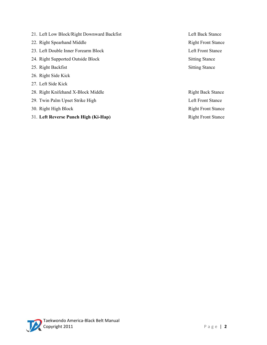- 21. Left Low Block/Right Downward Backfist Left Back Stance
- 22. Right Spearhand Middle Right Front Stance
- 23. Left Double Inner Forearm Block Left Front Stance
- 24. Right Supported Outside Block Sitting Stance
- 25. Right Backfist Sitting Stance
- 26. Right Side Kick
- 27. Left Side Kick
- 28. Right Knifehand X-Block Middle Right Back Stance
- 29. Twin Palm Upset Strike High Left Front Stance
- 30. Right High Block Right Front Stance
- 31. Left Reverse Punch High (Ki-Hap) Right Front Stance